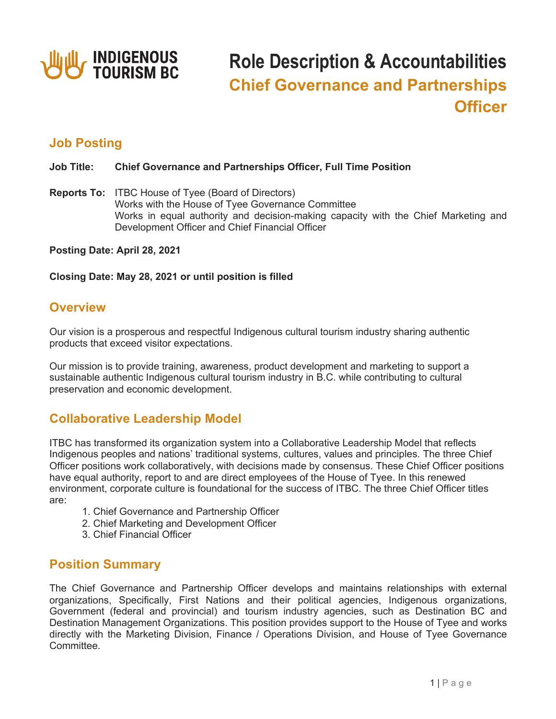

# **Role Description & Accountabilities Chief Governance and Partnerships Officer**

# **Job Posting**

#### **Job Title: Chief Governance and Partnerships Officer, Full Time Position**

**Reports To:** ITBC House of Tyee (Board of Directors) Works with the House of Tyee Governance Committee Works in equal authority and decision-making capacity with the Chief Marketing and Development Officer and Chief Financial Officer

**Posting Date: April 28, 2021**

**Closing Date: May 28, 2021 or until position is filled**

### **Overview**

Our vision is a prosperous and respectful Indigenous cultural tourism industry sharing authentic products that exceed visitor expectations.

Our mission is to provide training, awareness, product development and marketing to support a sustainable authentic Indigenous cultural tourism industry in B.C. while contributing to cultural preservation and economic development.

# **Collaborative Leadership Model**

ITBC has transformed its organization system into a Collaborative Leadership Model that reflects Indigenous peoples and nations' traditional systems, cultures, values and principles. The three Chief Officer positions work collaboratively, with decisions made by consensus. These Chief Officer positions have equal authority, report to and are direct employees of the House of Tyee. In this renewed environment, corporate culture is foundational for the success of ITBC. The three Chief Officer titles are:

- 1. Chief Governance and Partnership Officer
- 2. Chief Marketing and Development Officer
- 3. Chief Financial Officer

# **Position Summary**

The Chief Governance and Partnership Officer develops and maintains relationships with external organizations, Specifically, First Nations and their political agencies, Indigenous organizations, Government (federal and provincial) and tourism industry agencies, such as Destination BC and Destination Management Organizations. This position provides support to the House of Tyee and works directly with the Marketing Division, Finance / Operations Division, and House of Tyee Governance Committee.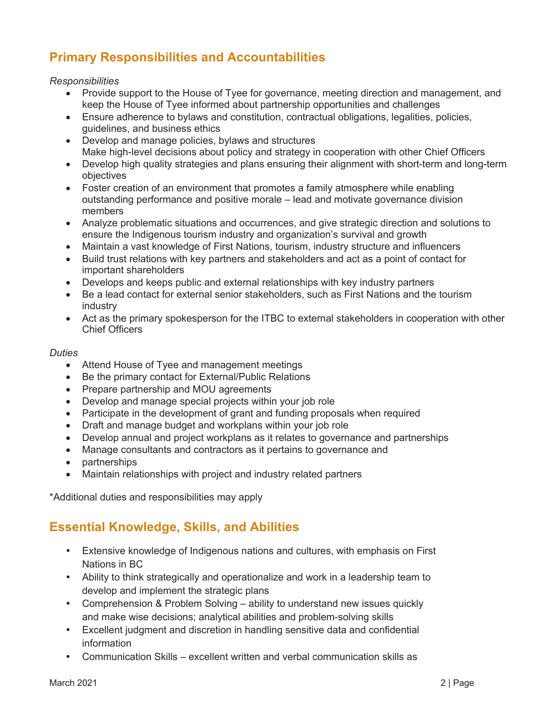# **Primary Responsibilities and Accountabilities**

#### *Responsibilities*

- Provide support to the House of Tyee for governance, meeting direction and management, and keep the House of Tyee informed about partnership opportunities and challenges
- Ensure adherence to bylaws and constitution, contractual obligations, legalities, policies, guidelines, and business ethics
- Develop and manage policies, bylaws and structures Make high-level decisions about policy and strategy in cooperation with other Chief Officers
- Develop high quality strategies and plans ensuring their alignment with short-term and long-term objectives
- Foster creation of an environment that promotes a family atmosphere while enabling outstanding performance and positive morale – lead and motivate governance division members
- Analyze problematic situations and occurrences, and give strategic direction and solutions to ensure the Indigenous tourism industry and organization's survival and growth
- Maintain a vast knowledge of First Nations, tourism, industry structure and influencers
- Build trust relations with key partners and stakeholders and act as a point of contact for important shareholders
- Develops and keeps public and external relationships with key industry partners
- Be a lead contact for external senior stakeholders, such as First Nations and the tourism industry
- Act as the primary spokesperson for the ITBC to external stakeholders in cooperation with other Chief Officers

#### *Duties*

- Attend House of Tyee and management meetings
- Be the primary contact for External/Public Relations
- Prepare partnership and MOU agreements
- Develop and manage special projects within your job role
- Participate in the development of grant and funding proposals when required
- Draft and manage budget and workplans within your job role
- Develop annual and project workplans as it relates to governance and partnerships
- Manage consultants and contractors as it pertains to governance and
- partnerships
- Maintain relationships with project and industry related partners

\*Additional duties and responsibilities may apply

# **Essential Knowledge, Skills, and Abilities**

- Extensive knowledge of Indigenous nations and cultures, with emphasis on First Nations in BC
- Ability to think strategically and operationalize and work in a leadership team to develop and implement the strategic plans
- Comprehension & Problem Solving ability to understand new issues quickly and make wise decisions; analytical abilities and problem-solving skills
- Excellent judgment and discretion in handling sensitive data and confidential information
- Communication Skills excellent written and verbal communication skills as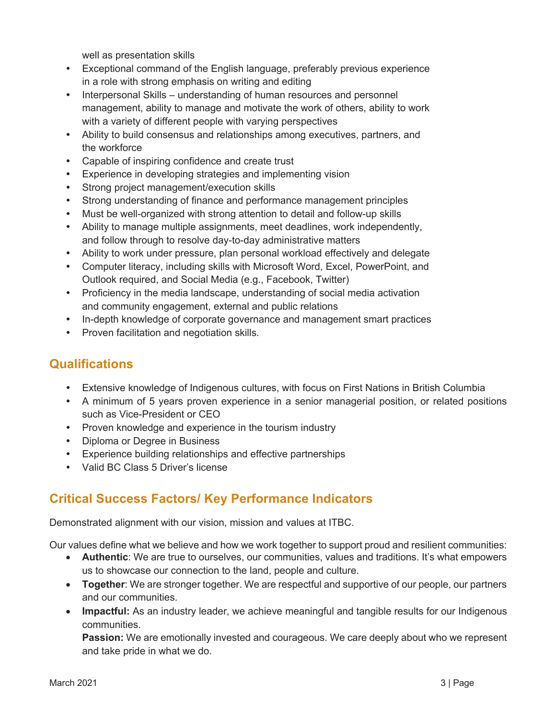well as presentation skills

- Exceptional command of the English language, preferably previous experience in a role with strong emphasis on writing and editing
- Interpersonal Skills understanding of human resources and personnel management, ability to manage and motivate the work of others, ability to work with a variety of different people with varying perspectives
- Ability to build consensus and relationships among executives, partners, and the workforce
- Capable of inspiring confidence and create trust
- Experience in developing strategies and implementing vision
- Strong project management/execution skills
- Strong understanding of finance and performance management principles
- Must be well-organized with strong attention to detail and follow-up skills
- Ability to manage multiple assignments, meet deadlines, work independently, and follow through to resolve day-to-day administrative matters
- Ability to work under pressure, plan personal workload effectively and delegate
- Computer literacy, including skills with Microsoft Word, Excel, PowerPoint, and Outlook required, and Social Media (e.g., Facebook, Twitter)
- Proficiency in the media landscape, understanding of social media activation and community engagement, external and public relations
- In-depth knowledge of corporate governance and management smart practices
- Proven facilitation and negotiation skills.

# **Qualifications**

- Extensive knowledge of Indigenous cultures, with focus on First Nations in British Columbia
- A minimum of 5 years proven experience in a senior managerial position, or related positions such as Vice-President or CEO
- Proven knowledge and experience in the tourism industry
- Diploma or Degree in Business
- Experience building relationships and effective partnerships
- Valid BC Class 5 Driver's license

# **Critical Success Factors/ Key Performance Indicators**

Demonstrated alignment with our vision, mission and values at ITBC.

Our values define what we believe and how we work together to support proud and resilient communities:

- **Authentic**: We are true to ourselves, our communities, values and traditions. It's what empowers us to showcase our connection to the land, people and culture.
- **Together**: We are stronger together. We are respectful and supportive of our people, our partners and our communities.
- **Impactful:** As an industry leader, we achieve meaningful and tangible results for our Indigenous communities.

**Passion:** We are emotionally invested and courageous. We care deeply about who we represent and take pride in what we do.